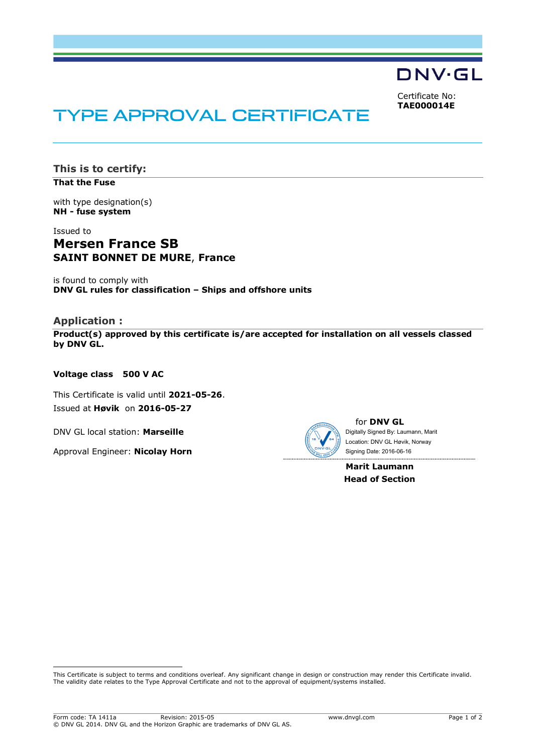

Certificate No: **TAE000014E**

# TYPE APPROVAL CERTIFICATE

**This is to certify: That the Fuse**

with type designation(s) **NH - fuse system**

## Issued to **Mersen France SB SAINT BONNET DE MURE**, **France**

is found to comply with **DNV GL rules for classification – Ships and offshore units**

## **Application :**

i<br>I

**Product(s) approved by this certificate is/are accepted for installation on all vessels classed by DNV GL.**

#### **Voltage class 500 V AC**

This Certificate is valid until **2021-05-26**. Issued at **Høvik** on **2016-05-27**

DNV GL local station: **Marseille**

Approval Engineer: **Nicolay Horn**



for **DNV GL** Digitally Signed By: Laumann, Marit Signing Date: 2016-06-16 Location: DNV GL Høvik, Norway

**Marit Laumann Head of Section**

This Certificate is subject to terms and conditions overleaf. Any significant change in design or construction may render this Certificate invalid. The validity date relates to the Type Approval Certificate and not to the approval of equipment/systems installed.